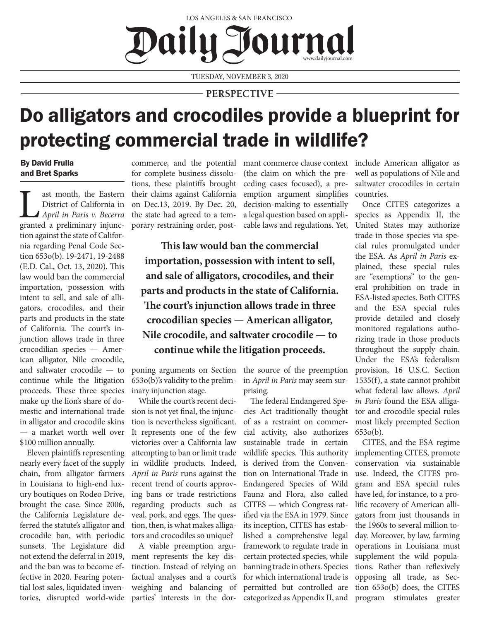## LOS ANGELES & SAN FRANCISCO Daily T www.dailyjournal.com

TUESDAY, NOVEMBER 3, 2020

**PERSPECTIVE**

## Do alligators and crocodiles provide a blueprint for protecting commercial trade in wildlife?

By David Frulla and Bret Sparks

ast month, the Eastern<br>District of California in<br>April in Paris v. Becerra<br>granted a preliminary injunc-District of California in *April in Paris v. Becerra*  tion against the state of California regarding Penal Code Section 653o(b). 19-2471, 19-2488 (E.D. Cal., Oct. 13, 2020). This law would ban the commercial importation, possession with intent to sell, and sale of alligators, crocodiles, and their parts and products in the state of California. The court's injunction allows trade in three crocodilian species — American alligator, Nile crocodile, and saltwater crocodile — to continue while the litigation proceeds. These three species make up the lion's share of domestic and international trade in alligator and crocodile skins — a market worth well over \$100 million annually.

Eleven plaintiffs representing nearly every facet of the supply chain, from alligator farmers in Louisiana to high-end luxury boutiques on Rodeo Drive, brought the case. Since 2006, the California Legislature deferred the statute's alligator and crocodile ban, with periodic sunsets. The Legislature did not extend the deferral in 2019, and the ban was to become effective in 2020. Fearing potential lost sales, liquidated inventories, disrupted world-wide

for complete business dissolutions, these plaintiffs brought their claims against California on Dec.13, 2019. By Dec. 20, the state had agreed to a temporary restraining order, post(the claim on which the preceding cases focused), a preemption argument simplifies decision-making to essentially a legal question based on applicable laws and regulations. Yet,

**This law would ban the commercial importation, possession with intent to sell, and sale of alligators, crocodiles, and their parts and products in the state of California. The court's injunction allows trade in three crocodilian species — American alligator, Nile crocodile, and saltwater crocodile — to continue while the litigation proceeds.** 

poning arguments on Section 653o(b)'s validity to the preliminary injunction stage.

While the court's recent decision is not yet final, the injunction is nevertheless significant. It represents one of the few victories over a California law attempting to ban or limit trade in wildlife products. Indeed, *April in Paris* runs against the recent trend of courts approving bans or trade restrictions regarding products such as veal, pork, and eggs. The question, then, is what makes alligators and crocodiles so unique?

A viable preemption argument represents the key distinction. Instead of relying on factual analyses and a court's weighing and balancing of parties' interests in the dorthe source of the preemption in *April in Paris* may seem surprising.

The federal Endangered Species Act traditionally thought of as a restraint on commercial activity, also authorizes sustainable trade in certain wildlife species. This authority is derived from the Convention on International Trade in Endangered Species of Wild Fauna and Flora, also called CITES — which Congress ratified via the ESA in 1979. Since its inception, CITES has established a comprehensive legal framework to regulate trade in certain protected species, while banning trade in others. Species for which international trade is permitted but controlled are categorized as Appendix II, and

commerce, and the potential mant commerce clause context include American alligator as well as populations of Nile and saltwater crocodiles in certain countries.

> Once CITES categorizes a species as Appendix II, the United States may authorize trade in those species via special rules promulgated under the ESA. As *April in Paris* explained, these special rules are "exemptions" to the general prohibition on trade in ESA-listed species. Both CITES and the ESA special rules provide detailed and closely monitored regulations authorizing trade in those products throughout the supply chain. Under the ESA's federalism provision, 16 U.S.C. Section 1535(f), a state cannot prohibit what federal law allows. *April in Paris* found the ESA alligator and crocodile special rules most likely preempted Section 653o(b).

> CITES, and the ESA regime implementing CITES, promote conservation via sustainable use. Indeed, the CITES program and ESA special rules have led, for instance, to a prolific recovery of American alligators from just thousands in the 1960s to several million today. Moreover, by law, farming operations in Louisiana must supplement the wild populations. Rather than reflexively opposing all trade, as Section 653o(b) does, the CITES program stimulates greater